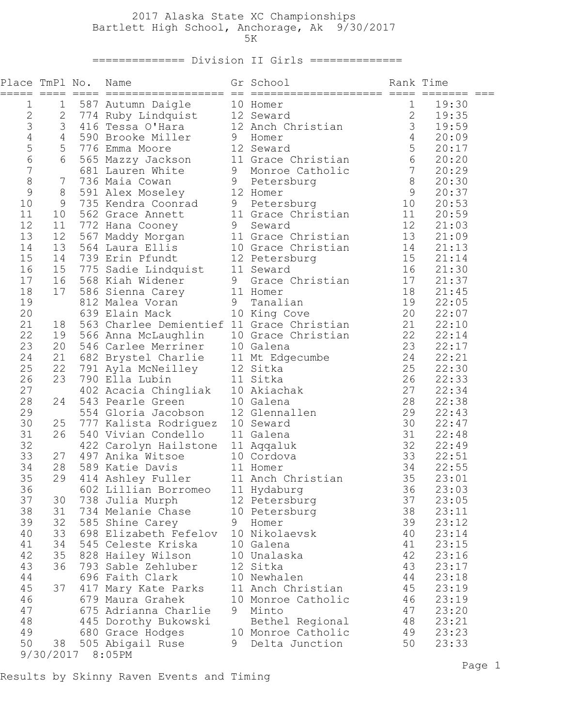## 2017 Alaska State XC Championships Bartlett High School, Anchorage, Ak 9/30/2017  $5K$

============== Division II Girls ==============

| Place TmPl No.<br>===== ==== |                | Name                                               |   | Gr School                           | Rank Time       |                      |
|------------------------------|----------------|----------------------------------------------------|---|-------------------------------------|-----------------|----------------------|
| 1                            | 1              | 587 Autumn Daigle                                  |   | 10 Homer                            | $\mathbf{1}$    | 19:30                |
| $\mathbf 2$                  | $\mathbf{2}$   | 774 Ruby Lindquist 12 Seward                       |   |                                     | $\mathbf{2}$    | 19:35                |
| 3                            | 3              | 416 Tessa O'Hara 12 Anch Christian                 |   |                                     | 3 <sup>7</sup>  | 19:59                |
| $\overline{4}$               | $\overline{4}$ | 590 Brooke Miller                                  | 9 | Homer                               | $4\overline{ }$ | 20:09                |
| 5                            | 5              | 776 Emma Moore                                     |   | 12 Seward                           | 5 <sub>5</sub>  | 20:17                |
| 6                            | 6              | 565 Mazzy Jackson 11 Grace Christian               |   |                                     | 6               | 20:20                |
| $\overline{7}$               |                | 681 Lauren White                                   |   | 9 Monroe Catholic                   | $7\overline{ }$ | 20:29                |
| 8                            | 7              | 736 Maia Cowan                                     |   | 9 Petersburg                        | 8               | 20:30                |
| 9                            | 8              | 591 Alex Moseley                                   |   | 12 Homer                            | 9               | 20:37                |
| 10                           | 9              | 735 Kendra Coonrad                                 | 9 | Petersburg                          | 10              | 20:53                |
| 11                           | 10             | 562 Grace Annett                                   |   | 11 Grace Christian                  |                 | 11 20:59             |
| 12                           | 11             | 772 Hana Cooney                                    | 9 | Seward                              |                 | 12 21:03             |
| 13                           | 12<br>13       | 567 Maddy Morgan<br>564 Laura Ellis                |   | 11 Grace Christian                  |                 | 13 21:09             |
| 14<br>15                     | 14             | 739 Erin Pfundt                                    |   | 10 Grace Christian<br>12 Petersburg |                 | 14 21:13<br>15 21:14 |
| 16                           | 15             | 775 Sadie Lindquist 11 Seward                      |   |                                     |                 | 16 21:30             |
| 17                           | 16             | 568 Kiah Widener                                   | 9 | Grace Christian                     |                 | 17 21:37             |
| 18                           | 17             | 586 Sienna Carey                                   |   | 11 Homer                            |                 | 18 21:45             |
| 19                           |                | 812 Malea Voran<br>$\overline{9}$                  |   | Tanalian                            |                 | 19 22:05             |
| 20                           |                | 639 Elain Mack                                     |   | 10 King Cove                        |                 | 20 22:07             |
| 21                           | 18             | 563 Charlee Demientief 11 Grace Christian 21 22:10 |   |                                     |                 |                      |
| 22                           | 19             | 566 Anna McLaughlin                                |   | 10 Grace Christian 22 22:14         |                 |                      |
| 23                           | 20             | 546 Carlee Merriner 10 Galena                      |   |                                     |                 | 23 22:17             |
| 24                           | 21             | 682 Brystel Charlie 11 Mt Edgecumbe                |   |                                     |                 | 24 22:21             |
| 25                           | 22             | 791 Ayla McNeilley                                 |   | 12 Sitka                            |                 | 25 22:30             |
| 26                           | 23             | 790 Ella Lubin                                     |   | 11 Sitka                            |                 | 26 22:33             |
| 27                           |                | 402 Acacia Chingliak 10 Akiachak                   |   |                                     |                 | 27 22:34             |
| 28                           | 24             | 543 Pearle Green                                   |   | 10 Galena                           |                 | 28 22:38             |
| 29                           |                | 554 Gloria Jacobson                                |   | 12 Glennallen                       |                 | 29 22:43             |
| 30                           | 25             | 777 Kalista Rodriguez 10 Seward                    |   |                                     |                 | 30 22:47             |
| 31                           | 26             | 540 Vivian Condello                                |   | 11 Galena                           |                 | 31 22:48             |
| 32                           |                | 422 Carolyn Hailstone 11 Aqqaluk                   |   |                                     |                 | 32 22:49             |
| 33                           | 27             | 497 Anika Witsoe                                   |   | 10 Cordova                          |                 | 33 22:51             |
| 34                           | 28             | 589 Katie Davis 11 Homer                           |   |                                     |                 | 34 22:55             |
| 35                           | 29             | 414 Ashley Fuller 11 Anch Christian                |   |                                     | 35              | 23:01                |
| 36                           |                | 602 Lillian Borromeo                               |   | 11 Hydaburg                         | 36              | 23:03                |
| 37                           | 30             | 738 Julia Murph                                    |   | 12 Petersburg                       | 37              | 23:05                |
| 38                           | 31             | 734 Melanie Chase                                  |   | 10 Petersburg                       | 38              | 23:11                |
| 39<br>40                     | 32<br>33       | 585 Shine Carey<br>698 Elizabeth Fefelov           | 9 | Homer<br>10 Nikolaevsk              | 39<br>40        | 23:12<br>23:14       |
| 41                           | 34             | 545 Celeste Kriska                                 |   | 10 Galena                           | 41              | 23:15                |
| 42                           | 35             | 828 Hailey Wilson                                  |   | 10 Unalaska                         | 42              | 23:16                |
| 43                           | 36             | 793 Sable Zehluber                                 |   | 12 Sitka                            | 43              | 23:17                |
| 44                           |                | 696 Faith Clark                                    |   | 10 Newhalen                         | 44              | 23:18                |
| 45                           | 37             | 417 Mary Kate Parks                                |   | 11 Anch Christian                   | 45              | 23:19                |
| 46                           |                | 679 Maura Grahek                                   |   | 10 Monroe Catholic                  | 46              | 23:19                |
| 47                           |                | 675 Adrianna Charlie                               | 9 | Minto                               | 47              | 23:20                |
| 48                           |                | 445 Dorothy Bukowski                               |   | Bethel Regional                     | 48              | 23:21                |
| 49                           |                | 680 Grace Hodges                                   |   | 10 Monroe Catholic                  | 49              | 23:23                |
| 50                           | 38             | 505 Abigail Ruse                                   | 9 | Delta Junction                      | 50              | 23:33                |
|                              | 9/30/2017      | 8:05PM                                             |   |                                     |                 |                      |

Results by Skinny Raven Events and Timing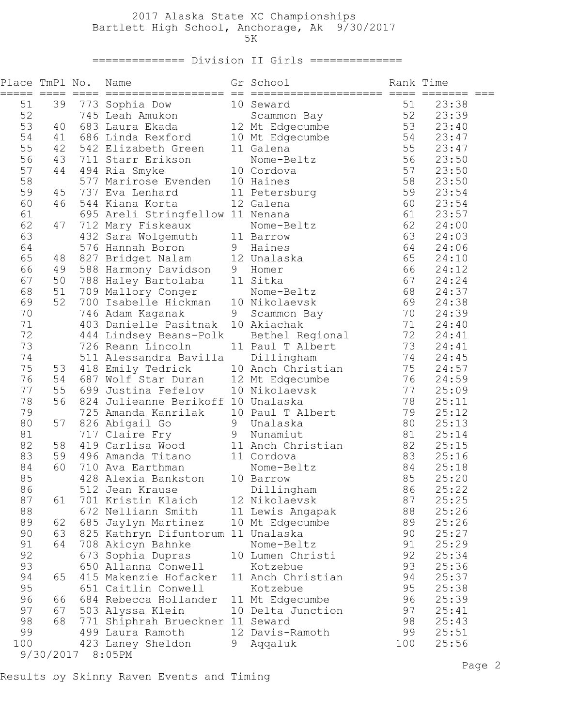## 2017 Alaska State XC Championships Bartlett High School, Anchorage, Ak 9/30/2017  $5K$

============== Division II Girls ==============

| 51<br>51<br>39<br>23:38<br>773 Sophia Dow<br>10 Seward<br>52<br>52<br>23:39<br>53<br>23:40<br>40<br>54<br>686 Linda Rexford 10 Mt Edgecumbe 54<br>542 Elizabeth Green 11 Galena 55<br>23:47<br>41 |  |
|---------------------------------------------------------------------------------------------------------------------------------------------------------------------------------------------------|--|
|                                                                                                                                                                                                   |  |
|                                                                                                                                                                                                   |  |
|                                                                                                                                                                                                   |  |
|                                                                                                                                                                                                   |  |
| 55<br>55<br>42<br>23:47<br>542 Elizabeth Green<br>11 Galena                                                                                                                                       |  |
| 56<br>56<br>43<br>23:50<br>711 Starr Erikson<br>Nome-Beltz                                                                                                                                        |  |
| 57<br>57<br>44<br>494 Ria Smyke<br>10 Cordova<br>23:50                                                                                                                                            |  |
| 58<br>58<br>577 Marirose Evenden 10 Haines<br>23:50                                                                                                                                               |  |
| 59<br>59<br>737 Eva Lenhard<br>11 Petersburg<br>23:54<br>45                                                                                                                                       |  |
| 60<br>60<br>46<br>12 Galena<br>23:54<br>544 Kiana Korta                                                                                                                                           |  |
| 61<br>61<br>23:57<br>695 Areli Stringfellow 11 Nenana                                                                                                                                             |  |
| 62<br>62<br>47<br>712 Mary Fiskeaux<br>24:00<br>Nome-Beltz                                                                                                                                        |  |
| 63<br>432 Sara Wolgemuth 11 Barrow<br>63<br>24:03                                                                                                                                                 |  |
| 64<br>64<br>576 Hannah Boron<br>9 Haines<br>24:06                                                                                                                                                 |  |
| 65<br>65<br>827 Bridget Nalam 12 Unalaska<br>48<br>24:10                                                                                                                                          |  |
| 66<br>66<br>49<br>588 Harmony Davidson 9 Homer<br>24:12                                                                                                                                           |  |
| 67<br>67<br>50<br>788 Haley Bartolaba 11 Sitka<br>24:24                                                                                                                                           |  |
| 68<br>68<br>51<br>709 Mallory Conger<br>24:37<br>Nome-Beltz                                                                                                                                       |  |
| 69<br>52<br>700 Isabelle Hickman 10 Nikolaevsk<br>69<br>24:38                                                                                                                                     |  |
| 70<br>70<br>746 Adam Kaganak<br>9<br>Scammon Bay<br>24:39                                                                                                                                         |  |
| 71<br>10 Akiachak<br>71<br>403 Danielle Pasitnak<br>24:40                                                                                                                                         |  |
| 72 24:41<br>72<br>444 Lindsey Beans-Polk<br>Bethel Regional                                                                                                                                       |  |
| 73 24:41<br>73<br>11 Paul T Albert<br>726 Reann Lincoln                                                                                                                                           |  |
| 74<br>74<br>24:45<br>511 Alessandra Bavilla<br>Dillingham                                                                                                                                         |  |
| 75<br>75<br>24:57<br>53<br>418 Emily Tedrick<br>10 Anch Christian                                                                                                                                 |  |
| 76<br>76<br>687 Wolf Star Duran 12 Mt Edgecumbe<br>24:59<br>54                                                                                                                                    |  |
| 55<br>77<br>77<br>699 Justina Fefelov<br>10 Nikolaevsk<br>25:09                                                                                                                                   |  |
| 78<br>56<br>78<br>824 Julieanne Berikoff 10 Unalaska<br>25:11                                                                                                                                     |  |
| 79<br>79<br>25:12<br>725 Amanda Kanrilak 10 Paul T Albert                                                                                                                                         |  |
| 80<br>80<br>57<br>826 Abigail Go<br>25:13<br>9 Unalaska                                                                                                                                           |  |
| 81<br>81<br>9 Nunamiut<br>25:14<br>717 Claire Fry                                                                                                                                                 |  |
| 82<br>82<br>58<br>419 Carlisa Wood<br>11 Anch Christian<br>25:15                                                                                                                                  |  |
| 83<br>83<br>59<br>11 Cordova<br>496 Amanda Titano<br>25:16                                                                                                                                        |  |
| 84<br>60<br>84<br>710 Ava Earthman<br>25:18<br>Nome-Beltz                                                                                                                                         |  |
| 428 Alexia Bankston 10 Barrow<br>85<br>85<br>25:20                                                                                                                                                |  |
| 86<br>86<br>512 Jean Krause<br>Dillingham<br>25:22                                                                                                                                                |  |
| 87<br>87<br>701 Kristin Klaich<br>12 Nikolaevsk<br>25:25<br>61                                                                                                                                    |  |
| 88<br>88<br>672 Nelliann Smith<br>25:26<br>11 Lewis Angapak                                                                                                                                       |  |
| 89<br>89<br>62<br>685 Jaylyn Martinez<br>10 Mt Edgecumbe<br>25:26                                                                                                                                 |  |
| 90<br>90<br>63<br>825 Kathryn Difuntorum 11 Unalaska<br>25:27                                                                                                                                     |  |
| 91<br>64<br>708 Akicyn Bahnke<br>91<br>25:29<br>Nome-Beltz                                                                                                                                        |  |
| 92<br>92<br>673 Sophia Dupras<br>10 Lumen Christi<br>25:34                                                                                                                                        |  |
| 93<br>93<br>650 Allanna Conwell<br>25:36<br>Kotzebue                                                                                                                                              |  |
| 94<br>415 Makenzie Hofacker<br>11 Anch Christian<br>94<br>25:37<br>65                                                                                                                             |  |
| 95<br>95<br>25:38<br>651 Caitlin Conwell<br>Kotzebue                                                                                                                                              |  |
| 96<br>96<br>25:39<br>66<br>684 Rebecca Hollander<br>11 Mt Edgecumbe                                                                                                                               |  |
| 97<br>97<br>25:41<br>67<br>503 Alyssa Klein<br>10 Delta Junction                                                                                                                                  |  |
| 98<br>68<br>98<br>771 Shiphrah Brueckner 11 Seward<br>25:43                                                                                                                                       |  |
| 99<br>12 Davis-Ramoth<br>99<br>25:51<br>499 Laura Ramoth                                                                                                                                          |  |
| 100<br>423 Laney Sheldon<br>Aqqaluk<br>100<br>25:56<br>9                                                                                                                                          |  |
| 9/30/2017<br>8:05PM                                                                                                                                                                               |  |

Results by Skinny Raven Events and Timing